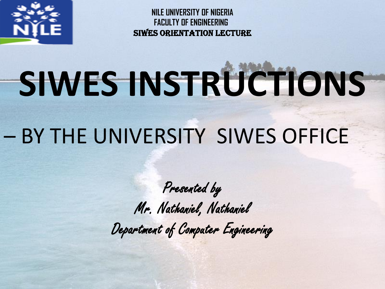

# **SIWES INSTRUCTIONS**

### – BY THE UNIVERSITY SIWES OFFICE

Presented by Mr. Nathaniel, Nathaniel Department of Computer Engineering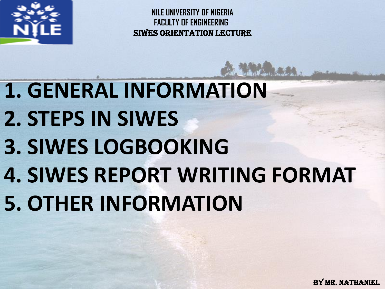

**1. GENERAL INFORMATION 2. STEPS IN SIWES 3. SIWES LOGBOOKING 4. SIWES REPORT WRITING FORMAT 5. OTHER INFORMATION**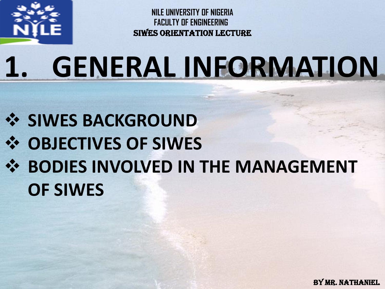

## **1. GENERAL INFORMATION**

**SIWES BACKGROUND OBJECTIVES OF SIWES**  $\div$  **BODIES INVOLVED IN THE MANAGEMENT OF SIWES**

By MR. NATHANIEL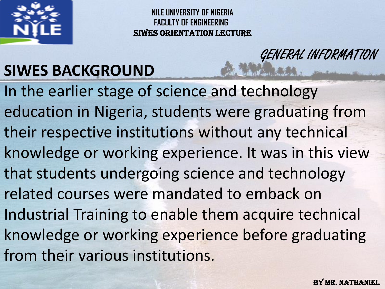

GENERAL INFORMATION

#### **SIWES BACKGROUND**

In the earlier stage of science and technology education in Nigeria, students were graduating from their respective institutions without any technical knowledge or working experience. It was in this view that students undergoing science and technology related courses were mandated to emback on Industrial Training to enable them acquire technical knowledge or working experience before graduating from their various institutions.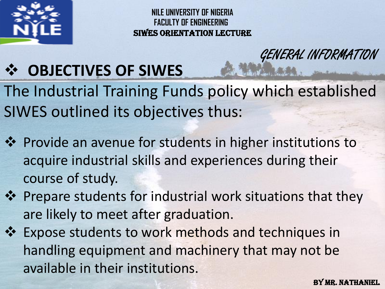

GENERAL INFORMATION

#### **OBJECTIVES OF SIWES**

The Industrial Training Funds policy which established SIWES outlined its objectives thus:

- ❖ Provide an avenue for students in higher institutions to acquire industrial skills and experiences during their course of study.
- ❖ Prepare students for industrial work situations that they are likely to meet after graduation.
- Expose students to work methods and techniques in handling equipment and machinery that may not be available in their institutions.

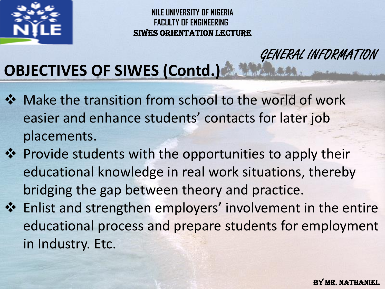

GENERAL INFORMATION

#### **OBJECTIVES OF SIWES (Contd.)**

- Make the transition from school to the world of work easier and enhance students' contacts for later job placements.
- ❖ Provide students with the opportunities to apply their educational knowledge in real work situations, thereby bridging the gap between theory and practice.
- Enlist and strengthen employers' involvement in the entire educational process and prepare students for employment in Industry. Etc.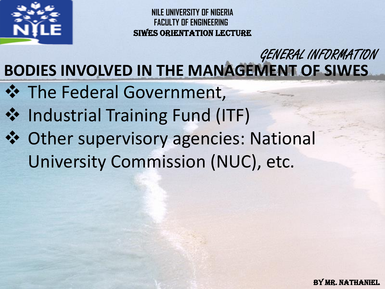

#### **BODIES INVOLVED IN THE MANAGEMENT OF SIWES** GENERAL INFORMATION

- $\div$  The Federal Government,
- $\dots$  Industrial Training Fund (ITF)
- Other supervisory agencies: National University Commission (NUC), etc.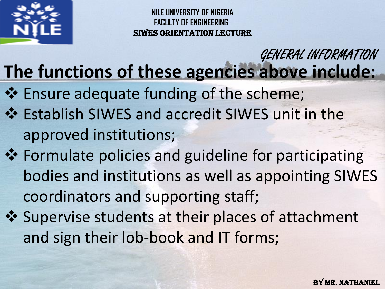

#### **The functions of these agencies above include:** GENERAL INFORMATION

- ❖ Ensure adequate funding of the scheme;
- Establish SIWES and accredit SIWES unit in the approved institutions;
- ❖ Formulate policies and guideline for participating bodies and institutions as well as appointing SIWES coordinators and supporting staff;
- ❖ Supervise students at their places of attachment and sign their lob-book and IT forms;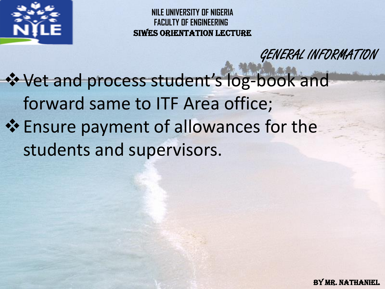

GENERAL INFORMATION

Vet and process student's log-book and forward same to ITF Area office;  $\div$  **Ensure payment of allowances for the** students and supervisors.

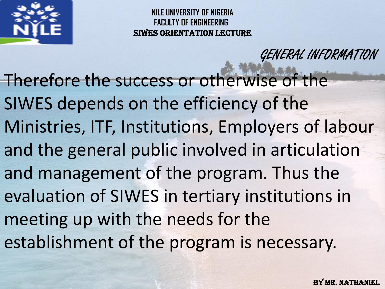

Therefore the success or otherwise of the SIWES depends on the efficiency of the Ministries, ITF, Institutions, Employers of labour and the general public involved in articulation and management of the program. Thus the evaluation of SIWES in tertiary institutions in meeting up with the needs for the establishment of the program is necessary.

GENERAL INFORMATION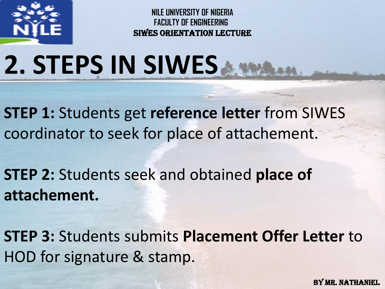

## **2. STEPS IN SIWES**

**STEP 1:** Students get **reference letter** from SIWES coordinator to seek for place of attachement.

**STEP 2:** Students seek and obtained **place of attachement.**

**STEP 3:** Students submits **Placement Offer Letter** to HOD for signature & stamp.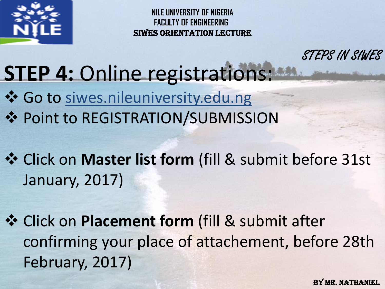

STEPS IN SIWES

#### **STEP 4: Online registrations:**

- ❖ Go to siwes.nileuniversity.edu.ng **❖ Point to REGISTRATION/SUBMISSION**
- Click on **Master list form** (fill & submit before 31st January, 2017)
- $\dots$  **Click on Placement form (fill & submit after** confirming your place of attachement, before 28th February, 2017)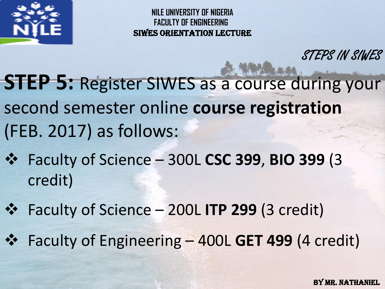

STEPS IN SIWES

**STEP 5:** Register SIWES as a course during your second semester online **course registration** (FEB. 2017) as follows:

 Faculty of Science – 300L **CSC 399**, **BIO 399** (3 credit)

Faculty of Science – 200L **ITP 299** (3 credit)

Faculty of Engineering – 400L **GET 499** (4 credit)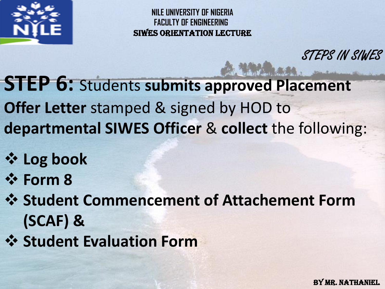

STEPS IN SIWES

**STEP 6:** Students **submits approved Placement Offer Letter** stamped & signed by HOD to **departmental SIWES Officer** & **collect** the following:

- **Log book**
- **Form 8**

 $\diamondsuit$  **Student Commencement of Attachement Form (SCAF) &**

 **Student Evaluation Form**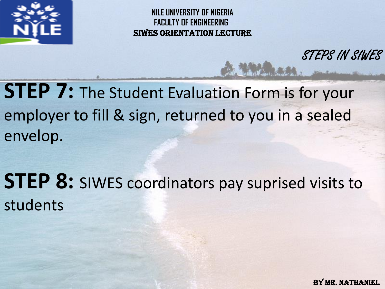

STEPS IN SIWES

**STEP 7:** The Student Evaluation Form is for your employer to fill & sign, returned to you in a sealed envelop.

**STEP 8:** SIWES coordinators pay suprised visits to students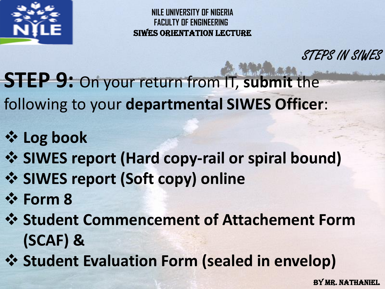

STEPS IN SIWES

**STEP 9:** On your return from IT, **submit** the

following to your **departmental SIWES Officer**:

- **Log book**
- **SIWES report (Hard copy-rail or spiral bound)**
- **SIWES report (Soft copy) online**
- **Form 8**
- $\diamondsuit$  **Student Commencement of Attachement Form (SCAF) &**
- **Student Evaluation Form (sealed in envelop)**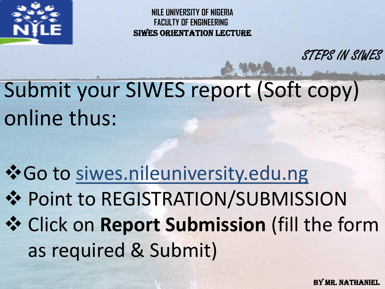

STEPS IN SIWES

### Submit your SIWES report (Soft copy) online thus:

Go to siwes.nileuniversity.edu.ng **❖ Point to REGISTRATION/SUBMISSION**  Click on **Report Submission** (fill the form as required & Submit)

By MR. NATHANIEL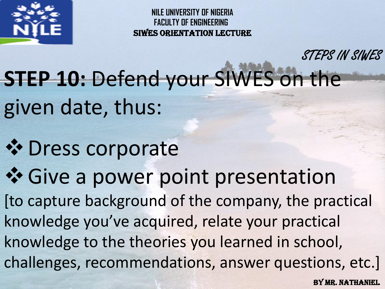

STEPS IN SIWES

**STEP 10: Defend your SIWES on the** given date, thus:

- *☆* Dress corporate
- Give a power point presentation

[to capture background of the company, the practical knowledge you've acquired, relate your practical knowledge to the theories you learned in school, challenges, recommendations, answer questions, etc.]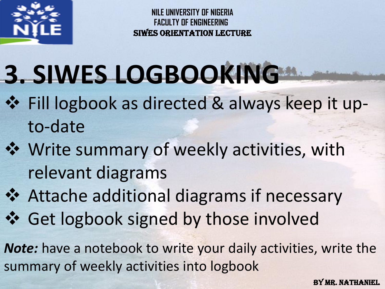

## **3. SIWES LOGBOOKING**

- Fill logbook as directed & always keep it upto-date
- Write summary of weekly activities, with relevant diagrams
- Attache additional diagrams if necessary Get logbook signed by those involved

*Note:* have a notebook to write your daily activities, write the summary of weekly activities into logbook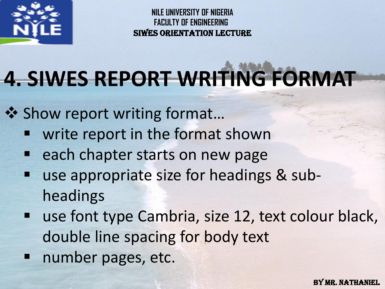

### **4. SIWES REPORT WRITING FORMAT**

❖ Show report writing format...

- write report in the format shown
- each chapter starts on new page
- use appropriate size for headings & subheadings
- **use font type Cambria, size 12, text colour black,** double line spacing for body text
- **number pages, etc.**